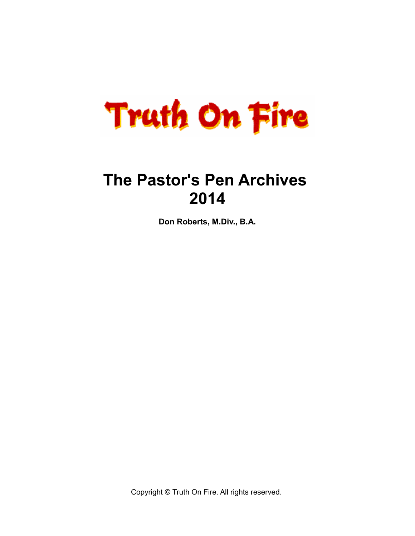

# **The Pastor's Pen Archives 2014**

**Don Roberts, M.Div., B.A.**

Copyright © Truth On Fire. All rights reserved.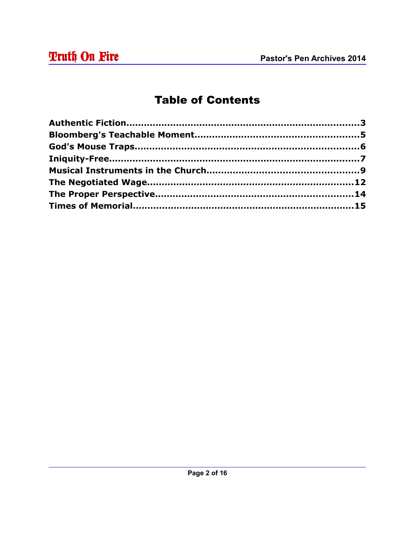# **Table of Contents**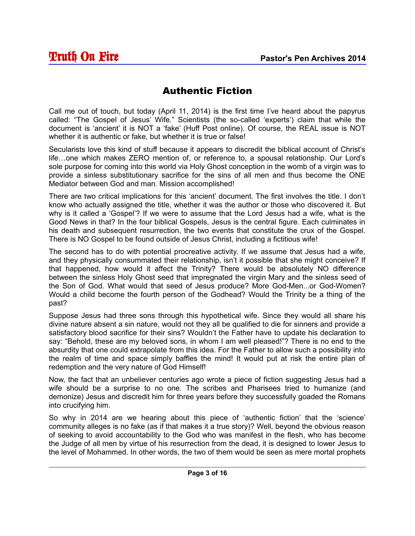# Authentic Fiction

Call me out of touch, but today (April 11, 2014) is the first time I've heard about the papyrus called: "The Gospel of Jesus' Wife." Scientists (the so-called 'experts') claim that while the document is 'ancient' it is NOT a 'fake' (Huff Post online). Of course, the REAL issue is NOT whether it is authentic or fake, but whether it is true or false!

Secularists love this kind of stuff because it appears to discredit the biblical account of Christ's life…one which makes ZERO mention of, or reference to, a spousal relationship. Our Lord's sole purpose for coming into this world via Holy Ghost conception in the womb of a virgin was to provide a sinless substitutionary sacrifice for the sins of all men and thus become the ONE Mediator between God and man. Mission accomplished!

There are two critical implications for this 'ancient' document. The first involves the title. I don't know who actually assigned the title, whether it was the author or those who discovered it. But why is it called a 'Gospel'? If we were to assume that the Lord Jesus had a wife, what is the Good News in that? In the four biblical Gospels, Jesus is the central figure. Each culminates in his death and subsequent resurrection, the two events that constitute the crux of the Gospel. There is NO Gospel to be found outside of Jesus Christ, including a fictitious wife!

The second has to do with potential procreative activity. If we assume that Jesus had a wife, and they physically consummated their relationship, isn't it possible that she might conceive? If that happened, how would it affect the Trinity? There would be absolutely NO difference between the sinless Holy Ghost seed that impregnated the virgin Mary and the sinless seed of the Son of God. What would that seed of Jesus produce? More God-Men...or God-Women? Would a child become the fourth person of the Godhead? Would the Trinity be a thing of the past?

Suppose Jesus had three sons through this hypothetical wife. Since they would all share his divine nature absent a sin nature, would not they all be qualified to die for sinners and provide a satisfactory blood sacrifice for their sins? Wouldn't the Father have to update his declaration to say: "Behold, these are my beloved sons, in whom I am well pleased!"? There is no end to the absurdity that one could extrapolate from this idea. For the Father to allow such a possibility into the realm of time and space simply baffles the mind! It would put at risk the entire plan of redemption and the very nature of God Himself!

Now, the fact that an unbeliever centuries ago wrote a piece of fiction suggesting Jesus had a wife should be a surprise to no one. The scribes and Pharisees tried to humanize (and demonize) Jesus and discredit him for three years before they successfully goaded the Romans into crucifying him.

So why in 2014 are we hearing about this piece of 'authentic fiction' that the 'science' community alleges is no fake (as if that makes it a true story)? Well, beyond the obvious reason of seeking to avoid accountability to the God who was manifest in the flesh, who has become the Judge of all men by virtue of his resurrection from the dead, it is designed to lower Jesus to the level of Mohammed. In other words, the two of them would be seen as mere mortal prophets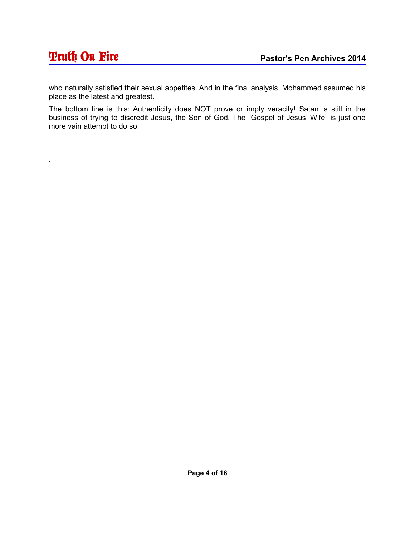`

who naturally satisfied their sexual appetites. And in the final analysis, Mohammed assumed his place as the latest and greatest.

The bottom line is this: Authenticity does NOT prove or imply veracity! Satan is still in the business of trying to discredit Jesus, the Son of God. The "Gospel of Jesus' Wife" is just one more vain attempt to do so.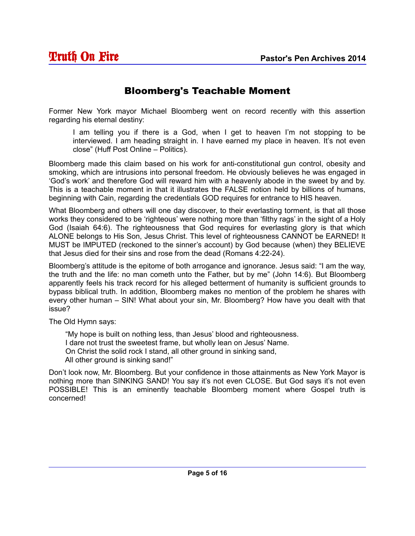#### Bloomberg's Teachable Moment

Former New York mayor Michael Bloomberg went on record recently with this assertion regarding his eternal destiny:

I am telling you if there is a God, when I get to heaven I'm not stopping to be interviewed. I am heading straight in. I have earned my place in heaven. It's not even close" (Huff Post Online – Politics).

Bloomberg made this claim based on his work for anti-constitutional gun control, obesity and smoking, which are intrusions into personal freedom. He obviously believes he was engaged in 'God's work' and therefore God will reward him with a heavenly abode in the sweet by and by. This is a teachable moment in that it illustrates the FALSE notion held by billions of humans, beginning with Cain, regarding the credentials GOD requires for entrance to HIS heaven.

What Bloomberg and others will one day discover, to their everlasting torment, is that all those works they considered to be 'righteous' were nothing more than 'filthy rags' in the sight of a Holy God (Isaiah 64:6). The righteousness that God requires for everlasting glory is that which ALONE belongs to His Son, Jesus Christ. This level of righteousness CANNOT be EARNED! It MUST be IMPUTED (reckoned to the sinner's account) by God because (when) they BELIEVE that Jesus died for their sins and rose from the dead (Romans 4:22-24).

Bloomberg's attitude is the epitome of both arrogance and ignorance. Jesus said: "I am the way, the truth and the life: no man cometh unto the Father, but by me" (John 14:6). But Bloomberg apparently feels his track record for his alleged betterment of humanity is sufficient grounds to bypass biblical truth. In addition, Bloomberg makes no mention of the problem he shares with every other human – SIN! What about your sin, Mr. Bloomberg? How have you dealt with that issue?

The Old Hymn says:

"My hope is built on nothing less, than Jesus' blood and righteousness.

I dare not trust the sweetest frame, but wholly lean on Jesus' Name.

On Christ the solid rock I stand, all other ground in sinking sand,

All other ground is sinking sand!"

Don't look now, Mr. Bloomberg. But your confidence in those attainments as New York Mayor is nothing more than SINKING SAND! You say it's not even CLOSE. But God says it's not even POSSIBLE! This is an eminently teachable Bloomberg moment where Gospel truth is concerned!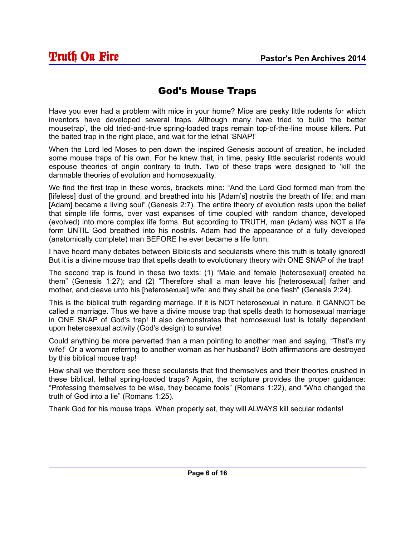#### God's Mouse Traps

Have you ever had a problem with mice in your home? Mice are pesky little rodents for which inventors have developed several traps. Although many have tried to build 'the better mousetrap', the old tried-and-true spring-loaded traps remain top-of-the-line mouse killers. Put the baited trap in the right place, and wait for the lethal 'SNAP!'

When the Lord led Moses to pen down the inspired Genesis account of creation, he included some mouse traps of his own. For he knew that, in time, pesky little secularist rodents would espouse theories of origin contrary to truth. Two of these traps were designed to 'kill' the damnable theories of evolution and homosexuality.

We find the first trap in these words, brackets mine: "And the Lord God formed man from the [lifeless] dust of the ground, and breathed into his [Adam's] nostrils the breath of life; and man [Adam] became a living soul" (Genesis 2:7). The entire theory of evolution rests upon the belief that simple life forms, over vast expanses of time coupled with random chance, developed (evolved) into more complex life forms. But according to TRUTH, man (Adam) was NOT a life form UNTIL God breathed into his nostrils. Adam had the appearance of a fully developed (anatomically complete) man BEFORE he ever became a life form.

I have heard many debates between Biblicists and secularists where this truth is totally ignored! But it is a divine mouse trap that spells death to evolutionary theory with ONE SNAP of the trap!

The second trap is found in these two texts: (1) "Male and female [heterosexual] created he them" (Genesis 1:27); and (2) "Therefore shall a man leave his [heterosexual] father and mother, and cleave unto his [heterosexual] wife: and they shall be one flesh" (Genesis 2:24).

This is the biblical truth regarding marriage. If it is NOT heterosexual in nature, it CANNOT be called a marriage. Thus we have a divine mouse trap that spells death to homosexual marriage in ONE SNAP of God's trap! It also demonstrates that homosexual lust is totally dependent upon heterosexual activity (God's design) to survive!

Could anything be more perverted than a man pointing to another man and saying, "That's my wife!" Or a woman referring to another woman as her husband? Both affirmations are destroyed by this biblical mouse trap!

How shall we therefore see these secularists that find themselves and their theories crushed in these biblical, lethal spring-loaded traps? Again, the scripture provides the proper guidance: "Professing themselves to be wise, they became fools" (Romans 1:22), and "Who changed the truth of God into a lie" (Romans 1:25).

Thank God for his mouse traps. When properly set, they will ALWAYS kill secular rodents!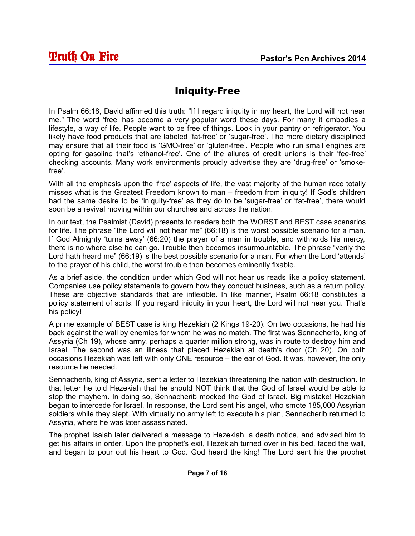### Iniquity-Free

In Psalm 66:18, David affirmed this truth: "If I regard iniquity in my heart, the Lord will not hear me." The word 'free' has become a very popular word these days. For many it embodies a lifestyle, a way of life. People want to be free of things. Look in your pantry or refrigerator. You likely have food products that are labeled 'fat-free' or 'sugar-free'. The more dietary disciplined may ensure that all their food is 'GMO-free' or 'gluten-free'. People who run small engines are opting for gasoline that's 'ethanol-free'. One of the allures of credit unions is their 'fee-free' checking accounts. Many work environments proudly advertise they are 'drug-free' or 'smokefree'.

With all the emphasis upon the 'free' aspects of life, the vast majority of the human race totally misses what is the Greatest Freedom known to man – freedom from iniquity! If God's children had the same desire to be 'iniquity-free' as they do to be 'sugar-free' or 'fat-free', there would soon be a revival moving within our churches and across the nation.

In our text, the Psalmist (David) presents to readers both the WORST and BEST case scenarios for life. The phrase "the Lord will not hear me" (66:18) is the worst possible scenario for a man. If God Almighty 'turns away' (66:20) the prayer of a man in trouble, and withholds his mercy, there is no where else he can go. Trouble then becomes insurmountable. The phrase "verily the Lord hath heard me" (66:19) is the best possible scenario for a man. For when the Lord 'attends' to the prayer of his child, the worst trouble then becomes eminently fixable.

As a brief aside, the condition under which God will not hear us reads like a policy statement. Companies use policy statements to govern how they conduct business, such as a return policy. These are objective standards that are inflexible. In like manner, Psalm 66:18 constitutes a policy statement of sorts. If you regard iniquity in your heart, the Lord will not hear you. That's his policy!

A prime example of BEST case is king Hezekiah (2 Kings 19-20). On two occasions, he had his back against the wall by enemies for whom he was no match. The first was Sennacherib, king of Assyria (Ch 19), whose army, perhaps a quarter million strong, was in route to destroy him and Israel. The second was an illness that placed Hezekiah at death's door (Ch 20). On both occasions Hezekiah was left with only ONE resource – the ear of God. It was, however, the only resource he needed.

Sennacherib, king of Assyria, sent a letter to Hezekiah threatening the nation with destruction. In that letter he told Hezekiah that he should NOT think that the God of Israel would be able to stop the mayhem. In doing so, Sennacherib mocked the God of Israel. Big mistake! Hezekiah began to intercede for Israel. In response, the Lord sent his angel, who smote 185,000 Assyrian soldiers while they slept. With virtually no army left to execute his plan, Sennacherib returned to Assyria, where he was later assassinated.

The prophet Isaiah later delivered a message to Hezekiah, a death notice, and advised him to get his affairs in order. Upon the prophet's exit, Hezekiah turned over in his bed, faced the wall, and began to pour out his heart to God. God heard the king! The Lord sent his the prophet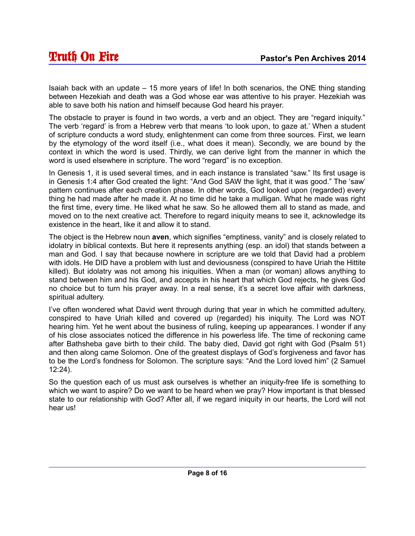Isaiah back with an update – 15 more years of life! In both scenarios, the ONE thing standing between Hezekiah and death was a God whose ear was attentive to his prayer. Hezekiah was able to save both his nation and himself because God heard his prayer.

The obstacle to prayer is found in two words, a verb and an object. They are "regard iniquity." The verb 'regard' is from a Hebrew verb that means 'to look upon, to gaze at.' When a student of scripture conducts a word study, enlightenment can come from three sources. First, we learn by the etymology of the word itself (i.e., what does it mean). Secondly, we are bound by the context in which the word is used. Thirdly, we can derive light from the manner in which the word is used elsewhere in scripture. The word "regard" is no exception.

In Genesis 1, it is used several times, and in each instance is translated "saw." Its first usage is in Genesis 1:4 after God created the light: "And God SAW the light, that it was good." The 'saw' pattern continues after each creation phase. In other words, God looked upon (regarded) every thing he had made after he made it. At no time did he take a mulligan. What he made was right the first time, every time. He liked what he saw. So he allowed them all to stand as made, and moved on to the next creative act. Therefore to regard iniquity means to see it, acknowledge its existence in the heart, like it and allow it to stand.

The object is the Hebrew noun **aven**, which signifies "emptiness, vanity" and is closely related to idolatry in biblical contexts. But here it represents anything (esp. an idol) that stands between a man and God. I say that because nowhere in scripture are we told that David had a problem with idols. He DID have a problem with lust and deviousness (conspired to have Uriah the Hittite killed). But idolatry was not among his iniquities. When a man (or woman) allows anything to stand between him and his God, and accepts in his heart that which God rejects, he gives God no choice but to turn his prayer away. In a real sense, it's a secret love affair with darkness, spiritual adultery.

I've often wondered what David went through during that year in which he committed adultery, conspired to have Uriah killed and covered up (regarded) his iniquity. The Lord was NOT hearing him. Yet he went about the business of ruling, keeping up appearances. I wonder if any of his close associates noticed the difference in his powerless life. The time of reckoning came after Bathsheba gave birth to their child. The baby died, David got right with God (Psalm 51) and then along came Solomon. One of the greatest displays of God's forgiveness and favor has to be the Lord's fondness for Solomon. The scripture says: "And the Lord loved him" (2 Samuel 12:24).

So the question each of us must ask ourselves is whether an iniquity-free life is something to which we want to aspire? Do we want to be heard when we pray? How important is that blessed state to our relationship with God? After all, if we regard iniquity in our hearts, the Lord will not hear us!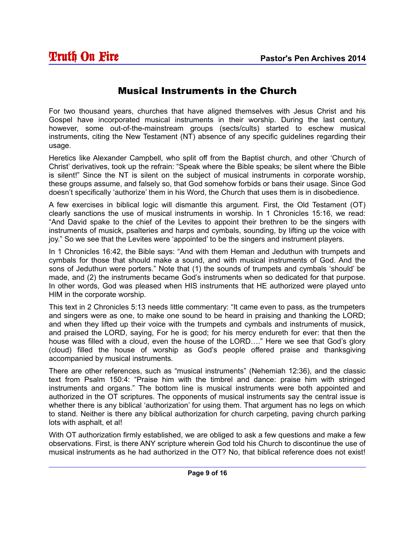#### Musical Instruments in the Church

For two thousand years, churches that have aligned themselves with Jesus Christ and his Gospel have incorporated musical instruments in their worship. During the last century, however, some out-of-the-mainstream groups (sects/cults) started to eschew musical instruments, citing the New Testament (NT) absence of any specific guidelines regarding their usage.

Heretics like Alexander Campbell, who split off from the Baptist church, and other 'Church of Christ' derivatives, took up the refrain: "Speak where the Bible speaks; be silent where the Bible is silent!" Since the NT is silent on the subject of musical instruments in corporate worship, these groups assume, and falsely so, that God somehow forbids or bans their usage. Since God doesn't specifically 'authorize' them in his Word, the Church that uses them is in disobedience.

A few exercises in biblical logic will dismantle this argument. First, the Old Testament (OT) clearly sanctions the use of musical instruments in worship. In 1 Chronicles 15:16, we read: "And David spake to the chief of the Levites to appoint their brethren to be the singers with instruments of musick, psalteries and harps and cymbals, sounding, by lifting up the voice with joy." So we see that the Levites were 'appointed' to be the singers and instrument players.

In 1 Chronicles 16:42, the Bible says: "And with them Heman and Jeduthun with trumpets and cymbals for those that should make a sound, and with musical instruments of God. And the sons of Jeduthun were porters." Note that (1) the sounds of trumpets and cymbals 'should' be made, and (2) the instruments became God's instruments when so dedicated for that purpose. In other words, God was pleased when HIS instruments that HE authorized were played unto HIM in the corporate worship.

This text in 2 Chronicles 5:13 needs little commentary: "It came even to pass, as the trumpeters and singers were as one, to make one sound to be heard in praising and thanking the LORD; and when they lifted up their voice with the trumpets and cymbals and instruments of musick, and praised the LORD, saying, For he is good; for his mercy endureth for ever: that then the house was filled with a cloud, even the house of the LORD…." Here we see that God's glory (cloud) filled the house of worship as God's people offered praise and thanksgiving accompanied by musical instruments.

There are other references, such as "musical instruments" (Nehemiah 12:36), and the classic text from Psalm 150:4: "Praise him with the timbrel and dance: praise him with stringed instruments and organs." The bottom line is musical instruments were both appointed and authorized in the OT scriptures. The opponents of musical instruments say the central issue is whether there is any biblical 'authorization' for using them. That argument has no legs on which to stand. Neither is there any biblical authorization for church carpeting, paving church parking lots with asphalt, et al!

With OT authorization firmly established, we are obliged to ask a few questions and make a few observations. First, is there ANY scripture wherein God told his Church to discontinue the use of musical instruments as he had authorized in the OT? No, that biblical reference does not exist!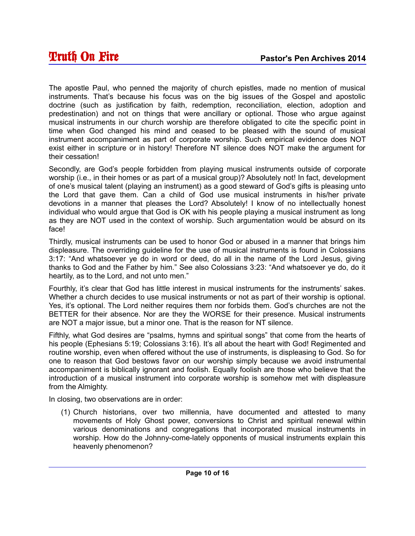The apostle Paul, who penned the majority of church epistles, made no mention of musical instruments. That's because his focus was on the big issues of the Gospel and apostolic doctrine (such as justification by faith, redemption, reconciliation, election, adoption and predestination) and not on things that were ancillary or optional. Those who argue against musical instruments in our church worship are therefore obligated to cite the specific point in time when God changed his mind and ceased to be pleased with the sound of musical instrument accompaniment as part of corporate worship. Such empirical evidence does NOT exist either in scripture or in history! Therefore NT silence does NOT make the argument for their cessation!

Secondly, are God's people forbidden from playing musical instruments outside of corporate worship (i.e., in their homes or as part of a musical group)? Absolutely not! In fact, development of one's musical talent (playing an instrument) as a good steward of God's gifts is pleasing unto the Lord that gave them. Can a child of God use musical instruments in his/her private devotions in a manner that pleases the Lord? Absolutely! I know of no intellectually honest individual who would argue that God is OK with his people playing a musical instrument as long as they are NOT used in the context of worship. Such argumentation would be absurd on its face!

Thirdly, musical instruments can be used to honor God or abused in a manner that brings him displeasure. The overriding guideline for the use of musical instruments is found in Colossians 3:17: "And whatsoever ye do in word or deed, do all in the name of the Lord Jesus, giving thanks to God and the Father by him." See also Colossians 3:23: "And whatsoever ye do, do it heartily, as to the Lord, and not unto men."

Fourthly, it's clear that God has little interest in musical instruments for the instruments' sakes. Whether a church decides to use musical instruments or not as part of their worship is optional. Yes, it's optional. The Lord neither requires them nor forbids them. God's churches are not the BETTER for their absence. Nor are they the WORSE for their presence. Musical instruments are NOT a major issue, but a minor one. That is the reason for NT silence.

Fifthly, what God desires are "psalms, hymns and spiritual songs" that come from the hearts of his people (Ephesians 5:19; Colossians 3:16). It's all about the heart with God! Regimented and routine worship, even when offered without the use of instruments, is displeasing to God. So for one to reason that God bestows favor on our worship simply because we avoid instrumental accompaniment is biblically ignorant and foolish. Equally foolish are those who believe that the introduction of a musical instrument into corporate worship is somehow met with displeasure from the Almighty.

In closing, two observations are in order:

(1) Church historians, over two millennia, have documented and attested to many movements of Holy Ghost power, conversions to Christ and spiritual renewal within various denominations and congregations that incorporated musical instruments in worship. How do the Johnny-come-lately opponents of musical instruments explain this heavenly phenomenon?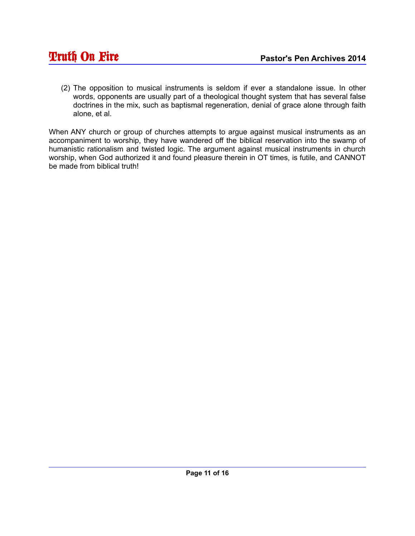(2) The opposition to musical instruments is seldom if ever a standalone issue. In other words, opponents are usually part of a theological thought system that has several false doctrines in the mix, such as baptismal regeneration, denial of grace alone through faith alone, et al.

When ANY church or group of churches attempts to argue against musical instruments as an accompaniment to worship, they have wandered off the biblical reservation into the swamp of humanistic rationalism and twisted logic. The argument against musical instruments in church worship, when God authorized it and found pleasure therein in OT times, is futile, and CANNOT be made from biblical truth!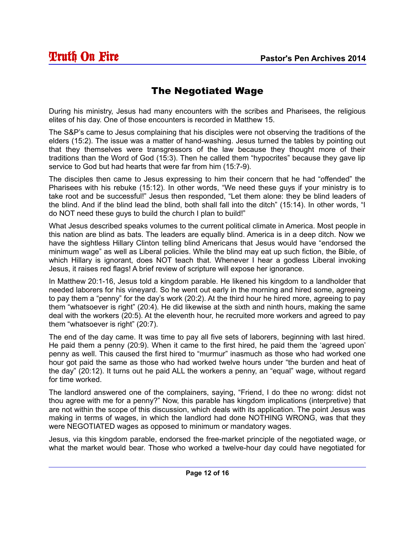# The Negotiated Wage

During his ministry, Jesus had many encounters with the scribes and Pharisees, the religious elites of his day. One of those encounters is recorded in Matthew 15.

The S&P's came to Jesus complaining that his disciples were not observing the traditions of the elders (15:2). The issue was a matter of hand-washing. Jesus turned the tables by pointing out that they themselves were transgressors of the law because they thought more of their traditions than the Word of God (15:3). Then he called them "hypocrites" because they gave lip service to God but had hearts that were far from him (15:7-9).

The disciples then came to Jesus expressing to him their concern that he had "offended" the Pharisees with his rebuke (15:12). In other words, "We need these guys if your ministry is to take root and be successful!" Jesus then responded, "Let them alone: they be blind leaders of the blind. And if the blind lead the blind, both shall fall into the ditch" (15:14). In other words, "I do NOT need these guys to build the church I plan to build!"

What Jesus described speaks volumes to the current political climate in America. Most people in this nation are blind as bats. The leaders are equally blind. America is in a deep ditch. Now we have the sightless Hillary Clinton telling blind Americans that Jesus would have "endorsed the minimum wage" as well as Liberal policies. While the blind may eat up such fiction, the Bible, of which Hillary is ignorant, does NOT teach that. Whenever I hear a godless Liberal invoking Jesus, it raises red flags! A brief review of scripture will expose her ignorance.

In Matthew 20:1-16, Jesus told a kingdom parable. He likened his kingdom to a landholder that needed laborers for his vineyard. So he went out early in the morning and hired some, agreeing to pay them a "penny" for the day's work (20:2). At the third hour he hired more, agreeing to pay them "whatsoever is right" (20:4). He did likewise at the sixth and ninth hours, making the same deal with the workers (20:5). At the eleventh hour, he recruited more workers and agreed to pay them "whatsoever is right" (20:7).

The end of the day came. It was time to pay all five sets of laborers, beginning with last hired. He paid them a penny (20:9). When it came to the first hired, he paid them the 'agreed upon' penny as well. This caused the first hired to "murmur" inasmuch as those who had worked one hour got paid the same as those who had worked twelve hours under "the burden and heat of the day" (20:12). It turns out he paid ALL the workers a penny, an "equal" wage, without regard for time worked.

The landlord answered one of the complainers, saying, "Friend, I do thee no wrong: didst not thou agree with me for a penny?" Now, this parable has kingdom implications (interpretive) that are not within the scope of this discussion, which deals with its application. The point Jesus was making in terms of wages, in which the landlord had done NOTHING WRONG, was that they were NEGOTIATED wages as opposed to minimum or mandatory wages.

Jesus, via this kingdom parable, endorsed the free-market principle of the negotiated wage, or what the market would bear. Those who worked a twelve-hour day could have negotiated for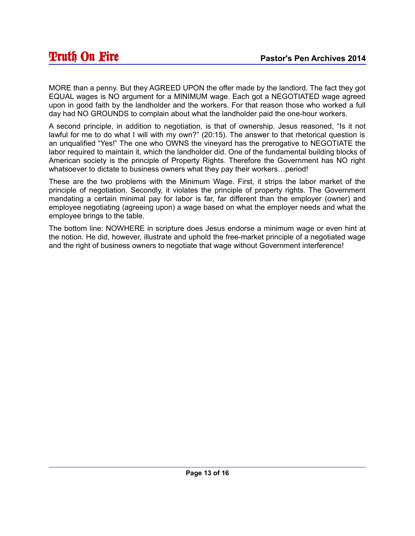MORE than a penny. But they AGREED UPON the offer made by the landlord. The fact they got EQUAL wages is NO argument for a MINIMUM wage. Each got a NEGOTIATED wage agreed upon in good faith by the landholder and the workers. For that reason those who worked a full day had NO GROUNDS to complain about what the landholder paid the one-hour workers.

A second principle, in addition to negotiation, is that of ownership. Jesus reasoned, "Is it not lawful for me to do what I will with my own?" (20:15). The answer to that rhetorical question is an unqualified "Yes!" The one who OWNS the vineyard has the prerogative to NEGOTIATE the labor required to maintain it, which the landholder did. One of the fundamental building blocks of American society is the principle of Property Rights. Therefore the Government has NO right whatsoever to dictate to business owners what they pay their workers…period!

These are the two problems with the Minimum Wage. First, it strips the labor market of the principle of negotiation. Secondly, it violates the principle of property rights. The Government mandating a certain minimal pay for labor is far, far different than the employer (owner) and employee negotiating (agreeing upon) a wage based on what the employer needs and what the employee brings to the table.

The bottom line: NOWHERE in scripture does Jesus endorse a minimum wage or even hint at the notion. He did, however, illustrate and uphold the free-market principle of a negotiated wage and the right of business owners to negotiate that wage without Government interference!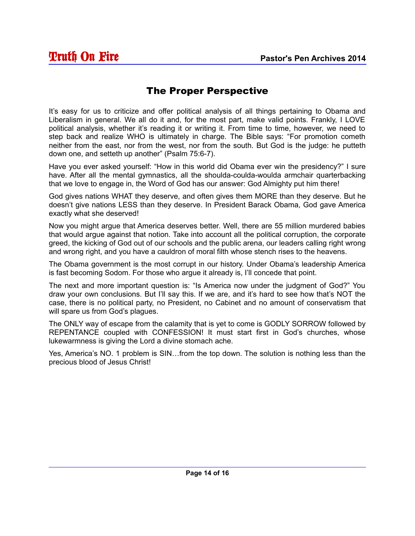# The Proper Perspective

It's easy for us to criticize and offer political analysis of all things pertaining to Obama and Liberalism in general. We all do it and, for the most part, make valid points. Frankly, I LOVE political analysis, whether it's reading it or writing it. From time to time, however, we need to step back and realize WHO is ultimately in charge. The Bible says: "For promotion cometh neither from the east, nor from the west, nor from the south. But God is the judge: he putteth down one, and setteth up another" (Psalm 75:6-7).

Have you ever asked yourself: "How in this world did Obama ever win the presidency?" I sure have. After all the mental gymnastics, all the shoulda-coulda-woulda armchair quarterbacking that we love to engage in, the Word of God has our answer: God Almighty put him there!

God gives nations WHAT they deserve, and often gives them MORE than they deserve. But he doesn't give nations LESS than they deserve. In President Barack Obama, God gave America exactly what she deserved!

Now you might argue that America deserves better. Well, there are 55 million murdered babies that would argue against that notion. Take into account all the political corruption, the corporate greed, the kicking of God out of our schools and the public arena, our leaders calling right wrong and wrong right, and you have a cauldron of moral filth whose stench rises to the heavens.

The Obama government is the most corrupt in our history. Under Obama's leadership America is fast becoming Sodom. For those who argue it already is, I'll concede that point.

The next and more important question is: "Is America now under the judgment of God?" You draw your own conclusions. But I'll say this. If we are, and it's hard to see how that's NOT the case, there is no political party, no President, no Cabinet and no amount of conservatism that will spare us from God's plagues.

The ONLY way of escape from the calamity that is yet to come is GODLY SORROW followed by REPENTANCE coupled with CONFESSION! It must start first in God's churches, whose lukewarmness is giving the Lord a divine stomach ache.

Yes, America's NO. 1 problem is SIN…from the top down. The solution is nothing less than the precious blood of Jesus Christ!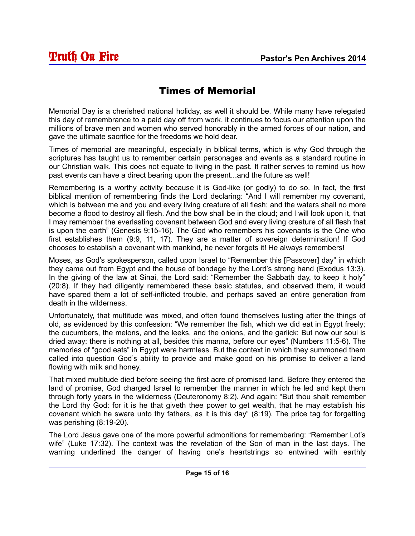#### Times of Memorial

Memorial Day is a cherished national holiday, as well it should be. While many have relegated this day of remembrance to a paid day off from work, it continues to focus our attention upon the millions of brave men and women who served honorably in the armed forces of our nation, and gave the ultimate sacrifice for the freedoms we hold dear.

Times of memorial are meaningful, especially in biblical terms, which is why God through the scriptures has taught us to remember certain personages and events as a standard routine in our Christian walk. This does not equate to living in the past. It rather serves to remind us how past events can have a direct bearing upon the present...and the future as well!

Remembering is a worthy activity because it is God-like (or godly) to do so. In fact, the first biblical mention of remembering finds the Lord declaring: "And I will remember my covenant, which is between me and you and every living creature of all flesh; and the waters shall no more become a flood to destroy all flesh. And the bow shall be in the cloud; and I will look upon it, that I may remember the everlasting covenant between God and every living creature of all flesh that is upon the earth" (Genesis 9:15-16). The God who remembers his covenants is the One who first establishes them (9:9, 11, 17). They are a matter of sovereign determination! If God chooses to establish a covenant with mankind, he never forgets it! He always remembers!

Moses, as God's spokesperson, called upon Israel to "Remember this [Passover] day" in which they came out from Egypt and the house of bondage by the Lord's strong hand (Exodus 13:3). In the giving of the law at Sinai, the Lord said: "Remember the Sabbath day, to keep it holy" (20:8). If they had diligently remembered these basic statutes, and observed them, it would have spared them a lot of self-inflicted trouble, and perhaps saved an entire generation from death in the wilderness.

Unfortunately, that multitude was mixed, and often found themselves lusting after the things of old, as evidenced by this confession: "We remember the fish, which we did eat in Egypt freely; the cucumbers, the melons, and the leeks, and the onions, and the garlick: But now our soul is dried away: there is nothing at all, besides this manna, before our eyes" (Numbers 11:5-6). The memories of "good eats" in Egypt were harmless. But the context in which they summoned them called into question God's ability to provide and make good on his promise to deliver a land flowing with milk and honey.

That mixed multitude died before seeing the first acre of promised land. Before they entered the land of promise, God charged Israel to remember the manner in which he led and kept them through forty years in the wilderness (Deuteronomy 8:2). And again: "But thou shalt remember the Lord thy God: for it is he that giveth thee power to get wealth, that he may establish his covenant which he sware unto thy fathers, as it is this day" (8:19). The price tag for forgetting was perishing (8:19-20).

The Lord Jesus gave one of the more powerful admonitions for remembering: "Remember Lot's wife" (Luke 17:32). The context was the revelation of the Son of man in the last days. The warning underlined the danger of having one's heartstrings so entwined with earthly